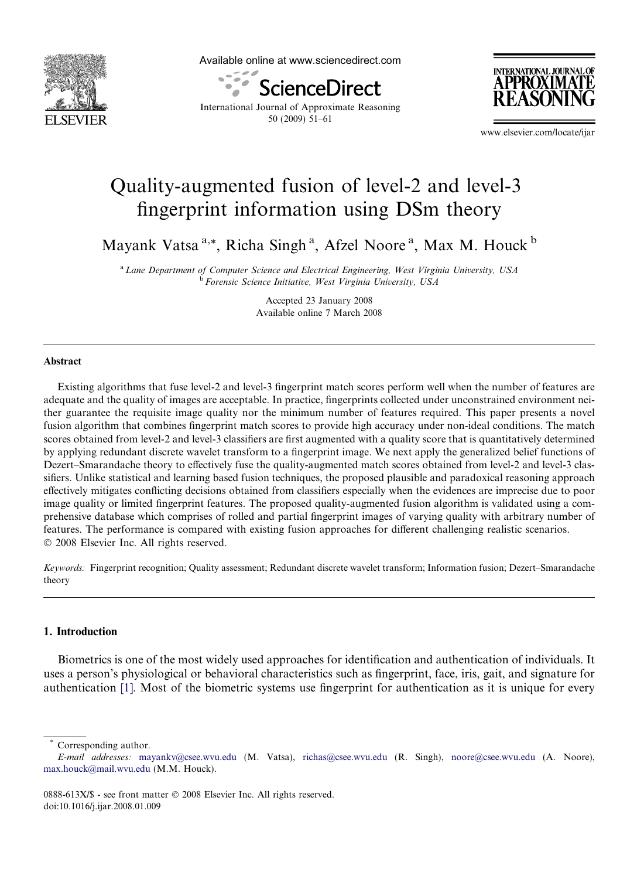

Available online at www.sciencedirect.com



**INTERNATIONAL JOURNA** APPROXIMAT

International Journal of Approximate Reasoning 50 (2009) 51–61

www.elsevier.com/locate/ijar

# Quality-augmented fusion of level-2 and level-3 fingerprint information using DSm theory

Mayank Vatsa<sup>a,\*</sup>, Richa Singh<sup>a</sup>, Afzel Noore<sup>a</sup>, Max M. Houck<sup>b</sup>

<sup>a</sup> Lane Department of Computer Science and Electrical Engineering, West Virginia University, USA <sup>b</sup> Forensic Science Initiative, West Virginia University, USA

> Accepted 23 January 2008 Available online 7 March 2008

#### Abstract

Existing algorithms that fuse level-2 and level-3 fingerprint match scores perform well when the number of features are adequate and the quality of images are acceptable. In practice, fingerprints collected under unconstrained environment neither guarantee the requisite image quality nor the minimum number of features required. This paper presents a novel fusion algorithm that combines fingerprint match scores to provide high accuracy under non-ideal conditions. The match scores obtained from level-2 and level-3 classifiers are first augmented with a quality score that is quantitatively determined by applying redundant discrete wavelet transform to a fingerprint image. We next apply the generalized belief functions of Dezert–Smarandache theory to effectively fuse the quality-augmented match scores obtained from level-2 and level-3 classifiers. Unlike statistical and learning based fusion techniques, the proposed plausible and paradoxical reasoning approach effectively mitigates conflicting decisions obtained from classifiers especially when the evidences are imprecise due to poor image quality or limited fingerprint features. The proposed quality-augmented fusion algorithm is validated using a comprehensive database which comprises of rolled and partial fingerprint images of varying quality with arbitrary number of features. The performance is compared with existing fusion approaches for different challenging realistic scenarios.  $© 2008$  Elsevier Inc. All rights reserved.

Keywords: Fingerprint recognition; Quality assessment; Redundant discrete wavelet transform; Information fusion; Dezert–Smarandache theory

# 1. Introduction

Biometrics is one of the most widely used approaches for identification and authentication of individuals. It uses a person's physiological or behavioral characteristics such as fingerprint, face, iris, gait, and signature for authentication [\[1\]](#page-10-0). Most of the biometric systems use fingerprint for authentication as it is unique for every

Corresponding author.

E-mail addresses: [mayankv@csee.wvu.edu](mailto:mayankv@csee.wvu.edu) (M. Vatsa), [richas@csee.wvu.edu](mailto:richas@csee.wvu.edu) (R. Singh), [noore@csee.wvu.edu](mailto:noore@csee.wvu.edu) (A. Noore), [max.houck@mail.wvu.edu](mailto:max.houck@mail.wvu.edu) (M.M. Houck).

<sup>0888-613</sup>X/\$ - see front matter © 2008 Elsevier Inc. All rights reserved. doi:10.1016/j.ijar.2008.01.009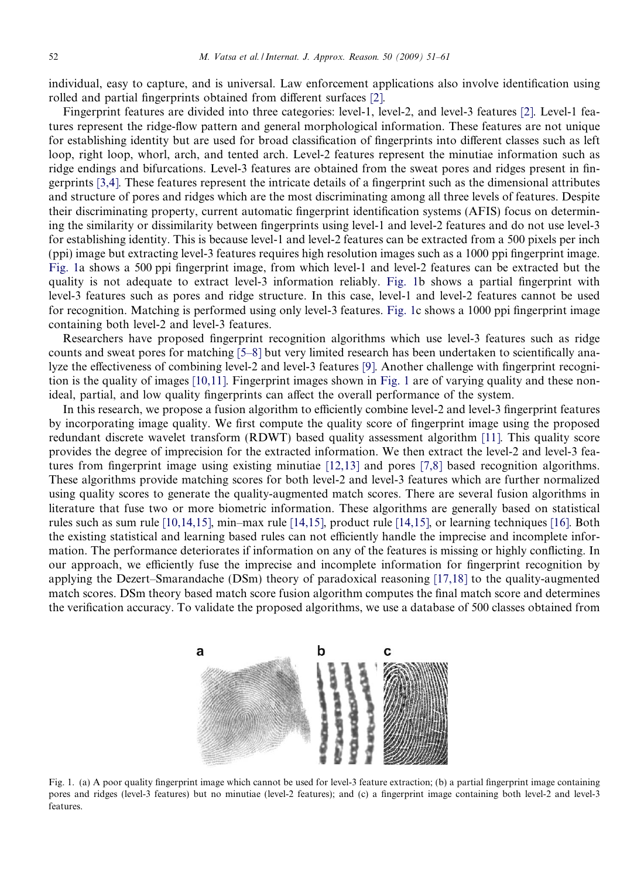individual, easy to capture, and is universal. Law enforcement applications also involve identification using rolled and partial fingerprints obtained from different surfaces [\[2\]](#page-10-0).

Fingerprint features are divided into three categories: level-1, level-2, and level-3 features [\[2\].](#page-10-0) Level-1 features represent the ridge-flow pattern and general morphological information. These features are not unique for establishing identity but are used for broad classification of fingerprints into different classes such as left loop, right loop, whorl, arch, and tented arch. Level-2 features represent the minutiae information such as ridge endings and bifurcations. Level-3 features are obtained from the sweat pores and ridges present in fingerprints [\[3,4\].](#page-10-0) These features represent the intricate details of a fingerprint such as the dimensional attributes and structure of pores and ridges which are the most discriminating among all three levels of features. Despite their discriminating property, current automatic fingerprint identification systems (AFIS) focus on determining the similarity or dissimilarity between fingerprints using level-1 and level-2 features and do not use level-3 for establishing identity. This is because level-1 and level-2 features can be extracted from a 500 pixels per inch (ppi) image but extracting level-3 features requires high resolution images such as a 1000 ppi fingerprint image. Fig. 1a shows a 500 ppi fingerprint image, from which level-1 and level-2 features can be extracted but the quality is not adequate to extract level-3 information reliably. Fig. 1b shows a partial fingerprint with level-3 features such as pores and ridge structure. In this case, level-1 and level-2 features cannot be used for recognition. Matching is performed using only level-3 features. Fig. 1c shows a 1000 ppi fingerprint image containing both level-2 and level-3 features.

Researchers have proposed fingerprint recognition algorithms which use level-3 features such as ridge counts and sweat pores for matching [\[5–8\]](#page-10-0) but very limited research has been undertaken to scientifically analyze the effectiveness of combining level-2 and level-3 features [\[9\].](#page-10-0) Another challenge with fingerprint recognition is the quality of images [\[10,11\].](#page-10-0) Fingerprint images shown in Fig. 1 are of varying quality and these nonideal, partial, and low quality fingerprints can affect the overall performance of the system.

In this research, we propose a fusion algorithm to efficiently combine level-2 and level-3 fingerprint features by incorporating image quality. We first compute the quality score of fingerprint image using the proposed redundant discrete wavelet transform (RDWT) based quality assessment algorithm [\[11\].](#page-10-0) This quality score provides the degree of imprecision for the extracted information. We then extract the level-2 and level-3 features from fingerprint image using existing minutiae [\[12,13\]](#page-10-0) and pores [\[7,8\]](#page-10-0) based recognition algorithms. These algorithms provide matching scores for both level-2 and level-3 features which are further normalized using quality scores to generate the quality-augmented match scores. There are several fusion algorithms in literature that fuse two or more biometric information. These algorithms are generally based on statistical rules such as sum rule [\[10,14,15\]](#page-10-0), min–max rule [\[14,15\]](#page-10-0), product rule [\[14,15\],](#page-10-0) or learning techniques [\[16\].](#page-10-0) Both the existing statistical and learning based rules can not efficiently handle the imprecise and incomplete information. The performance deteriorates if information on any of the features is missing or highly conflicting. In our approach, we efficiently fuse the imprecise and incomplete information for fingerprint recognition by applying the Dezert–Smarandache (DSm) theory of paradoxical reasoning [\[17,18\]](#page-10-0) to the quality-augmented match scores. DSm theory based match score fusion algorithm computes the final match score and determines the verification accuracy. To validate the proposed algorithms, we use a database of 500 classes obtained from



Fig. 1. (a) A poor quality fingerprint image which cannot be used for level-3 feature extraction; (b) a partial fingerprint image containing pores and ridges (level-3 features) but no minutiae (level-2 features); and (c) a fingerprint image containing both level-2 and level-3 features.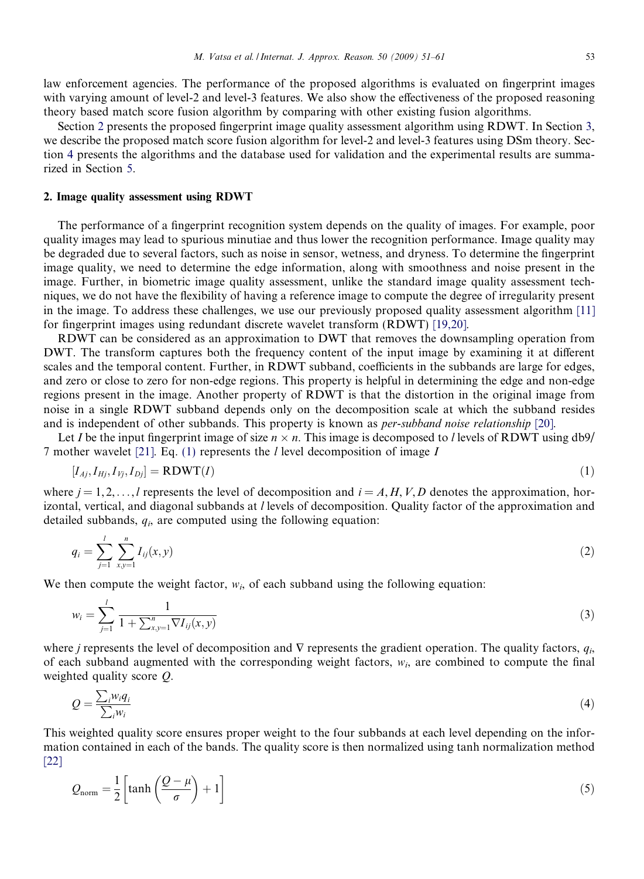<span id="page-2-0"></span>law enforcement agencies. The performance of the proposed algorithms is evaluated on fingerprint images with varying amount of level-2 and level-3 features. We also show the effectiveness of the proposed reasoning theory based match score fusion algorithm by comparing with other existing fusion algorithms.

Section 2 presents the proposed fingerprint image quality assessment algorithm using RDWT. In Section [3](#page-3-0), we describe the proposed match score fusion algorithm for level-2 and level-3 features using DSm theory. Section [4](#page-6-0) presents the algorithms and the database used for validation and the experimental results are summarized in Section [5](#page-7-0).

# 2. Image quality assessment using RDWT

The performance of a fingerprint recognition system depends on the quality of images. For example, poor quality images may lead to spurious minutiae and thus lower the recognition performance. Image quality may be degraded due to several factors, such as noise in sensor, wetness, and dryness. To determine the fingerprint image quality, we need to determine the edge information, along with smoothness and noise present in the image. Further, in biometric image quality assessment, unlike the standard image quality assessment techniques, we do not have the flexibility of having a reference image to compute the degree of irregularity present in the image. To address these challenges, we use our previously proposed quality assessment algorithm [\[11\]](#page-10-0) for fingerprint images using redundant discrete wavelet transform (RDWT) [\[19,20\]](#page-10-0).

RDWT can be considered as an approximation to DWT that removes the downsampling operation from DWT. The transform captures both the frequency content of the input image by examining it at different scales and the temporal content. Further, in RDWT subband, coefficients in the subbands are large for edges, and zero or close to zero for non-edge regions. This property is helpful in determining the edge and non-edge regions present in the image. Another property of RDWT is that the distortion in the original image from noise in a single RDWT subband depends only on the decomposition scale at which the subband resides and is independent of other subbands. This property is known as per-subband noise relationship [\[20\].](#page-10-0)

Let I be the input fingerprint image of size  $n \times n$ . This image is decomposed to l levels of RDWT using db9/ 7 mother wavelet [\[21\].](#page-10-0) Eq. (1) represents the  $l$  level decomposition of image  $I$ 

$$
[I_{Aj}, I_{Hj}, I_{Vj}, I_{Dj}] = \text{RDWT}(I) \tag{1}
$$

where  $j = 1, 2, \ldots, l$  represents the level of decomposition and  $i = A, H, V, D$  denotes the approximation, horizontal, vertical, and diagonal subbands at l levels of decomposition. Quality factor of the approximation and detailed subbands,  $q_i$ , are computed using the following equation:

$$
q_i = \sum_{j=1}^{l} \sum_{x,y=1}^{n} I_{ij}(x,y)
$$
 (2)

We then compute the weight factor,  $w_i$ , of each subband using the following equation:

$$
w_i = \sum_{j=1}^{l} \frac{1}{1 + \sum_{x,y=1}^{n} \nabla I_{ij}(x,y)}
$$
(3)

where j represents the level of decomposition and  $\nabla$  represents the gradient operation. The quality factors,  $q_i$ , of each subband augmented with the corresponding weight factors,  $w_i$ , are combined to compute the final weighted quality score Q.

$$
Q = \frac{\sum_{i} w_i q_i}{\sum_{i} w_i} \tag{4}
$$

This weighted quality score ensures proper weight to the four subbands at each level depending on the information contained in each of the bands. The quality score is then normalized using tanh normalization method [\[22\]](#page-10-0)

$$
Q_{\text{norm}} = \frac{1}{2} \left[ \tanh \left( \frac{Q - \mu}{\sigma} \right) + 1 \right] \tag{5}
$$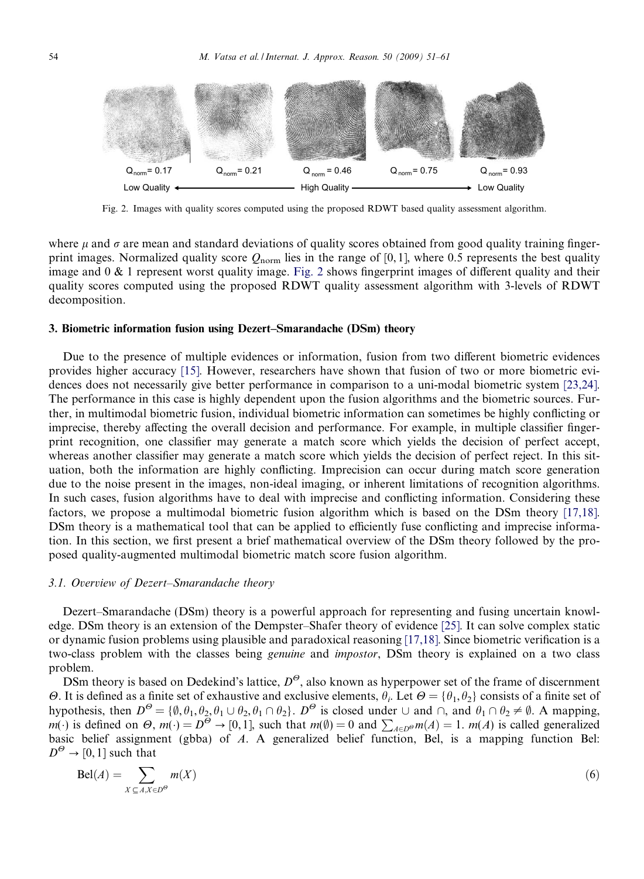<span id="page-3-0"></span>

Fig. 2. Images with quality scores computed using the proposed RDWT based quality assessment algorithm.

where  $\mu$  and  $\sigma$  are mean and standard deviations of quality scores obtained from good quality training fingerprint images. Normalized quality score  $Q_{\text{norm}}$  lies in the range of [0, 1], where 0.5 represents the best quality image and 0 & 1 represent worst quality image. Fig. 2 shows fingerprint images of different quality and their quality scores computed using the proposed RDWT quality assessment algorithm with 3-levels of RDWT decomposition.

# 3. Biometric information fusion using Dezert–Smarandache (DSm) theory

Due to the presence of multiple evidences or information, fusion from two different biometric evidences provides higher accuracy [\[15\]](#page-10-0). However, researchers have shown that fusion of two or more biometric evidences does not necessarily give better performance in comparison to a uni-modal biometric system [\[23,24\].](#page-10-0) The performance in this case is highly dependent upon the fusion algorithms and the biometric sources. Further, in multimodal biometric fusion, individual biometric information can sometimes be highly conflicting or imprecise, thereby affecting the overall decision and performance. For example, in multiple classifier fingerprint recognition, one classifier may generate a match score which yields the decision of perfect accept, whereas another classifier may generate a match score which yields the decision of perfect reject. In this situation, both the information are highly conflicting. Imprecision can occur during match score generation due to the noise present in the images, non-ideal imaging, or inherent limitations of recognition algorithms. In such cases, fusion algorithms have to deal with imprecise and conflicting information. Considering these factors, we propose a multimodal biometric fusion algorithm which is based on the DSm theory [\[17,18\].](#page-10-0) DSm theory is a mathematical tool that can be applied to efficiently fuse conflicting and imprecise information. In this section, we first present a brief mathematical overview of the DSm theory followed by the proposed quality-augmented multimodal biometric match score fusion algorithm.

#### 3.1. Overview of Dezert–Smarandache theory

Dezert–Smarandache (DSm) theory is a powerful approach for representing and fusing uncertain knowledge. DSm theory is an extension of the Dempster–Shafer theory of evidence [\[25\].](#page-10-0) It can solve complex static or dynamic fusion problems using plausible and paradoxical reasoning [\[17,18\]](#page-10-0). Since biometric verification is a two-class problem with the classes being *genuine* and *impostor*, DSm theory is explained on a two class problem.

DSm theory is based on Dedekind's lattice,  $D^{\Theta}$ , also known as hyperpower set of the frame of discernment  $\Theta$ . It is defined as a finite set of exhaustive and exclusive elements,  $\theta_i$ . Let  $\Theta = {\theta_1, \theta_2}$  consists of a finite set of hypothesis, then  $D^{\Theta} = {\emptyset, \theta_1, \theta_2, \theta_1 \cup \theta_2, \theta_1 \cap \theta_2}.$   $D^{\Theta}$  is closed under  $\cup$  and  $\cap$ , and  $\theta_1 \cap \theta_2 \neq \emptyset$ . A mapping, m(·) is defined on  $\Theta$ ,  $m(\cdot) = D^{\Theta} \rightarrow [0, 1]$ , such that  $m(\emptyset) = 0$  and  $\sum_{A \in D^{\Theta}} m(A) = 1$ .  $m(A)$  is called generalized basic belief assignment (gbba) of A. A generalized belief function, Bel, is a mapping function Bel:  $D^{\Theta} \rightarrow [0, 1]$  such that

$$
\text{Bel}(A) = \sum_{X \subseteq A, X \in D^{\Theta}} m(X) \tag{6}
$$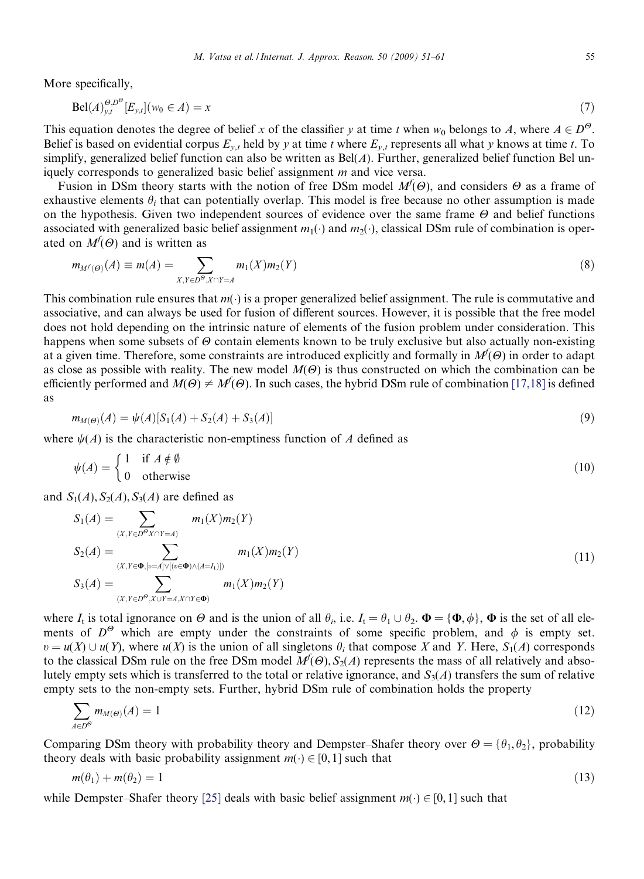M. Vatsa et al. / Internat. J. Approx. Reason. 50 (2009) 51–61 55

<span id="page-4-0"></span>More specifically,

$$
\text{Bel}(A)_{y,t}^{\Theta, D^{\Theta}}[E_{y,t}](w_0 \in A) = x \tag{7}
$$

This equation denotes the degree of belief x of the classifier y at time t when  $w_0$  belongs to A, where  $A \in D^{\Theta}$ . Belief is based on evidential corpus  $E_{y,t}$  held by y at time t where  $E_{y,t}$  represents all what y knows at time t. To simplify, generalized belief function can also be written as  $Bel(A)$ . Further, generalized belief function Bel uniquely corresponds to generalized basic belief assignment m and vice versa.

Fusion in DSm theory starts with the notion of free DSm model  $M^f(\Theta)$ , and considers  $\Theta$  as a frame of exhaustive elements  $\theta_i$  that can potentially overlap. This model is free because no other assumption is made on the hypothesis. Given two independent sources of evidence over the same frame  $\Theta$  and belief functions associated with generalized basic belief assignment  $m_1(\cdot)$  and  $m_2(\cdot)$ , classical DSm rule of combination is operated on  $M^f(\Theta)$  and is written as

$$
m_{M^{f}(\Theta)}(A) \equiv m(A) = \sum_{X,Y \in D^{\Theta}, X \cap Y = A} m_{1}(X) m_{2}(Y)
$$
\n(8)

This combination rule ensures that  $m(\cdot)$  is a proper generalized belief assignment. The rule is commutative and associative, and can always be used for fusion of different sources. However, it is possible that the free model does not hold depending on the intrinsic nature of elements of the fusion problem under consideration. This happens when some subsets of  $\Theta$  contain elements known to be truly exclusive but also actually non-existing at a given time. Therefore, some constraints are introduced explicitly and formally in  $M^f(\Theta)$  in order to adapt as close as possible with reality. The new model  $M(\Theta)$  is thus constructed on which the combination can be efficiently performed and  $M(\Theta) \neq M^f(\Theta)$ . In such cases, the hybrid DSm rule of combination [\[17,18\]](#page-10-0) is defined as

$$
m_{M(\Theta)}(A) = \psi(A)[S_1(A) + S_2(A) + S_3(A)] \tag{9}
$$

where  $\psi(A)$  is the characteristic non-emptiness function of A defined as

$$
\psi(A) = \begin{cases} 1 & \text{if } A \notin \emptyset \\ 0 & \text{otherwise} \end{cases}
$$
 (10)

and  $S_1(A)$ ,  $S_2(A)$ ,  $S_3(A)$  are defined as

$$
S_1(A) = \sum_{(X, Y \in D^{\Theta}X \cap Y = A)} m_1(X)m_2(Y)
$$
  
\n
$$
S_2(A) = \sum_{(X, Y \in \Phi, [v = A] \vee [(v \in \Phi) \wedge (A = I_1)])} m_1(X)m_2(Y)
$$
  
\n
$$
S_3(A) = \sum_{(X, Y \in D^{\Theta}, X \cup Y = A, X \cap Y \in \Phi)} m_1(X)m_2(Y)
$$
\n(11)

where  $I_t$  is total ignorance on  $\Theta$  and is the union of all  $\theta_i$ , i.e.  $I_t = \theta_1 \cup \theta_2$ .  $\Phi = {\Phi, \phi}$ ,  $\Phi$  is the set of all elements of  $D^{\Theta}$  which are empty under the constraints of some specific problem, and  $\phi$  is empty set.  $v = u(X) \cup u(Y)$ , where  $u(X)$  is the union of all singletons  $\theta_i$  that compose X and Y. Here,  $S_1(A)$  corresponds to the classical DSm rule on the free DSm model  $M^f(\Theta)$ ,  $S_2(A)$  represents the mass of all relatively and absolutely empty sets which is transferred to the total or relative ignorance, and  $S_3(A)$  transfers the sum of relative empty sets to the non-empty sets. Further, hybrid DSm rule of combination holds the property

$$
\sum_{A \in D^{\Theta}} m_{M(\Theta)}(A) = 1 \tag{12}
$$

Comparing DSm theory with probability theory and Dempster–Shafer theory over  $\Theta = {\theta_1, \theta_2}$ , probability theory deals with basic probability assignment  $m(\cdot) \in [0, 1]$  such that

$$
m(\theta_1) + m(\theta_2) = 1 \tag{13}
$$

while Dempster–Shafer theory [\[25\]](#page-10-0) deals with basic belief assignment  $m(\cdot) \in [0, 1]$  such that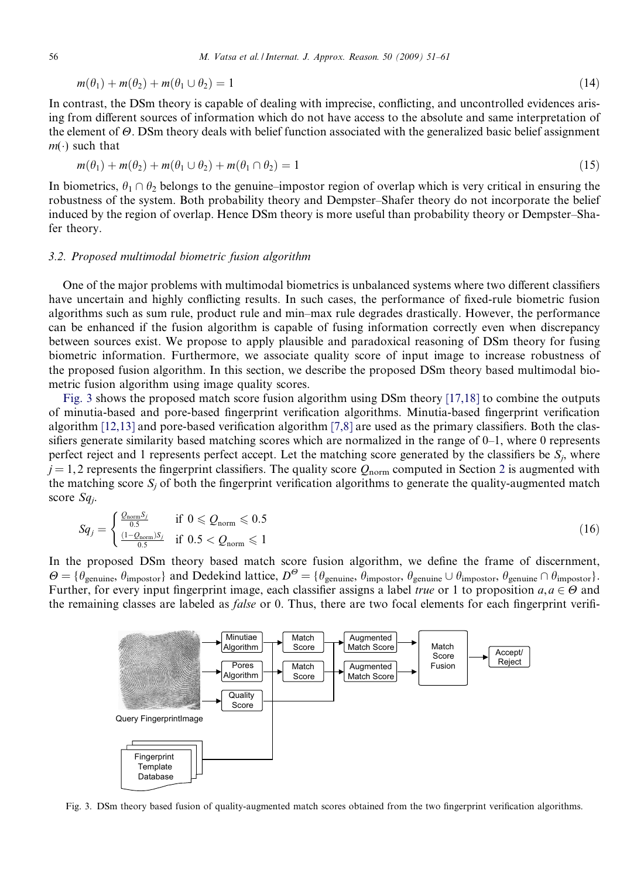$$
m(\theta_1) + m(\theta_2) + m(\theta_1 \cup \theta_2) = 1 \tag{14}
$$

In contrast, the DSm theory is capable of dealing with imprecise, conflicting, and uncontrolled evidences arising from different sources of information which do not have access to the absolute and same interpretation of the element of  $\Theta$ . DSm theory deals with belief function associated with the generalized basic belief assignment  $m(\cdot)$  such that

$$
m(\theta_1) + m(\theta_2) + m(\theta_1 \cup \theta_2) + m(\theta_1 \cap \theta_2) = 1 \tag{15}
$$

In biometrics,  $\theta_1 \cap \theta_2$  belongs to the genuine–impostor region of overlap which is very critical in ensuring the robustness of the system. Both probability theory and Dempster–Shafer theory do not incorporate the belief induced by the region of overlap. Hence DSm theory is more useful than probability theory or Dempster–Shafer theory.

# 3.2. Proposed multimodal biometric fusion algorithm

One of the major problems with multimodal biometrics is unbalanced systems where two different classifiers have uncertain and highly conflicting results. In such cases, the performance of fixed-rule biometric fusion algorithms such as sum rule, product rule and min–max rule degrades drastically. However, the performance can be enhanced if the fusion algorithm is capable of fusing information correctly even when discrepancy between sources exist. We propose to apply plausible and paradoxical reasoning of DSm theory for fusing biometric information. Furthermore, we associate quality score of input image to increase robustness of the proposed fusion algorithm. In this section, we describe the proposed DSm theory based multimodal biometric fusion algorithm using image quality scores.

Fig. 3 shows the proposed match score fusion algorithm using DSm theory [\[17,18\]](#page-10-0) to combine the outputs of minutia-based and pore-based fingerprint verification algorithms. Minutia-based fingerprint verification algorithm [\[12,13\]](#page-10-0) and pore-based verification algorithm [\[7,8\]](#page-10-0) are used as the primary classifiers. Both the classifiers generate similarity based matching scores which are normalized in the range of 0–1, where 0 represents perfect reject and 1 represents perfect accept. Let the matching score generated by the classifiers be  $S_i$ , where  $j = 1, 2$  $j = 1, 2$  represents the fingerprint classifiers. The quality score  $Q_{\text{norm}}$  computed in Section 2 is augmented with the matching score  $S_i$  of both the fingerprint verification algorithms to generate the quality-augmented match score  $Sq_i$ .

$$
Sq_j = \begin{cases} \frac{Q_{\text{norm}}S_j}{0.5} & \text{if } 0 \leq Q_{\text{norm}} \leq 0.5\\ \frac{(1 - Q_{\text{norm}})S_j}{0.5} & \text{if } 0.5 < Q_{\text{norm}} \leq 1 \end{cases} \tag{16}
$$

In the proposed DSm theory based match score fusion algorithm, we define the frame of discernment,  $\Theta = {\theta_{\text{genuine}}, \theta_{\text{impostor}}}$  and Dedekind lattice,  $D^{\Theta} = {\theta_{\text{genuine}}, \theta_{\text{impostor}}, \theta_{\text{genuine}}} \cup \theta_{\text{impostor}}, \theta_{\text{genuine}} \cap \theta_{\text{impostor}}}.$ Further, for every input fingerprint image, each classifier assigns a label *true* or 1 to proposition  $a, a \in \Theta$  and the remaining classes are labeled as *false* or 0. Thus, there are two focal elements for each fingerprint verifi-



Fig. 3. DSm theory based fusion of quality-augmented match scores obtained from the two fingerprint verification algorithms.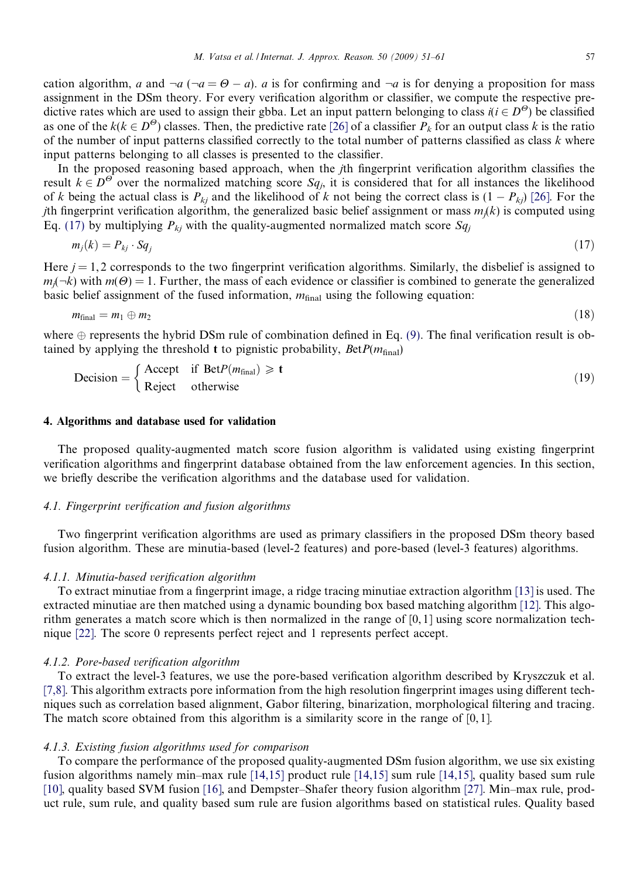<span id="page-6-0"></span>cation algorithm, a and  $-a$  ( $-a = \Theta - a$ ). a is for confirming and  $-a$  is for denying a proposition for mass assignment in the DSm theory. For every verification algorithm or classifier, we compute the respective predictive rates which are used to assign their gbba. Let an input pattern belonging to class  $i(i \in D^{\Theta})$  be classified as one of the  $k(k \in D^{\Theta})$  classes. Then, the predictive rate [\[26\]](#page-10-0) of a classifier  $P_k$  for an output class k is the ratio of the number of input patterns classified correctly to the total number of patterns classified as class  $k$  where input patterns belonging to all classes is presented to the classifier.

In the proposed reasoning based approach, when the jth fingerprint verification algorithm classifies the result  $k \in D^{\Theta}$  over the normalized matching score  $Sq_i$ , it is considered that for all instances the likelihood of k being the actual class is  $P_{ki}$  and the likelihood of k not being the correct class is  $(1 - P_{ki})$  [\[26\]](#page-10-0). For the jth fingerprint verification algorithm, the generalized basic belief assignment or mass  $m<sub>i</sub>(k)$  is computed using Eq. (17) by multiplying  $P_{ki}$  with the quality-augmented normalized match score  $Sq_i$ 

$$
m_j(k) = P_{kj} \cdot Sq_j \tag{17}
$$

Here  $j = 1, 2$  corresponds to the two fingerprint verification algorithms. Similarly, the disbelief is assigned to  $m<sub>i</sub>(-k)$  with  $m(\Theta) = 1$ . Further, the mass of each evidence or classifier is combined to generate the generalized basic belief assignment of the fused information,  $m_{\text{final}}$  using the following equation:

$$
m_{\text{final}} = m_1 \oplus m_2 \tag{18}
$$

where  $\oplus$  represents the hybrid DSm rule of combination defined in Eq. [\(9\)](#page-4-0). The final verification result is obtained by applying the threshold  $t$  to pignistic probability,  $BetP(m<sub>final</sub>)$ 

Decision = 
$$
\begin{cases} \text{Accept} & \text{if } \text{ Bet}P(m_{\text{final}}) \geq t \\ \text{Reject} & \text{otherwise} \end{cases}
$$
 (19)

## 4. Algorithms and database used for validation

The proposed quality-augmented match score fusion algorithm is validated using existing fingerprint verification algorithms and fingerprint database obtained from the law enforcement agencies. In this section, we briefly describe the verification algorithms and the database used for validation.

# 4.1. Fingerprint verification and fusion algorithms

Two fingerprint verification algorithms are used as primary classifiers in the proposed DSm theory based fusion algorithm. These are minutia-based (level-2 features) and pore-based (level-3 features) algorithms.

#### 4.1.1. Minutia-based verification algorithm

To extract minutiae from a fingerprint image, a ridge tracing minutiae extraction algorithm [\[13\]](#page-10-0) is used. The extracted minutiae are then matched using a dynamic bounding box based matching algorithm [\[12\]](#page-10-0). This algorithm generates a match score which is then normalized in the range of [0, 1] using score normalization technique [\[22\]](#page-10-0). The score 0 represents perfect reject and 1 represents perfect accept.

## 4.1.2. Pore-based verification algorithm

To extract the level-3 features, we use the pore-based verification algorithm described by Kryszczuk et al. [\[7,8\].](#page-10-0) This algorithm extracts pore information from the high resolution fingerprint images using different techniques such as correlation based alignment, Gabor filtering, binarization, morphological filtering and tracing. The match score obtained from this algorithm is a similarity score in the range of [0, 1].

#### 4.1.3. Existing fusion algorithms used for comparison

To compare the performance of the proposed quality-augmented DSm fusion algorithm, we use six existing fusion algorithms namely min–max rule [\[14,15\]](#page-10-0) product rule [\[14,15\]](#page-10-0) sum rule [\[14,15\],](#page-10-0) quality based sum rule [\[10\]](#page-10-0), quality based SVM fusion [\[16\]](#page-10-0), and Dempster–Shafer theory fusion algorithm [\[27\].](#page-10-0) Min–max rule, product rule, sum rule, and quality based sum rule are fusion algorithms based on statistical rules. Quality based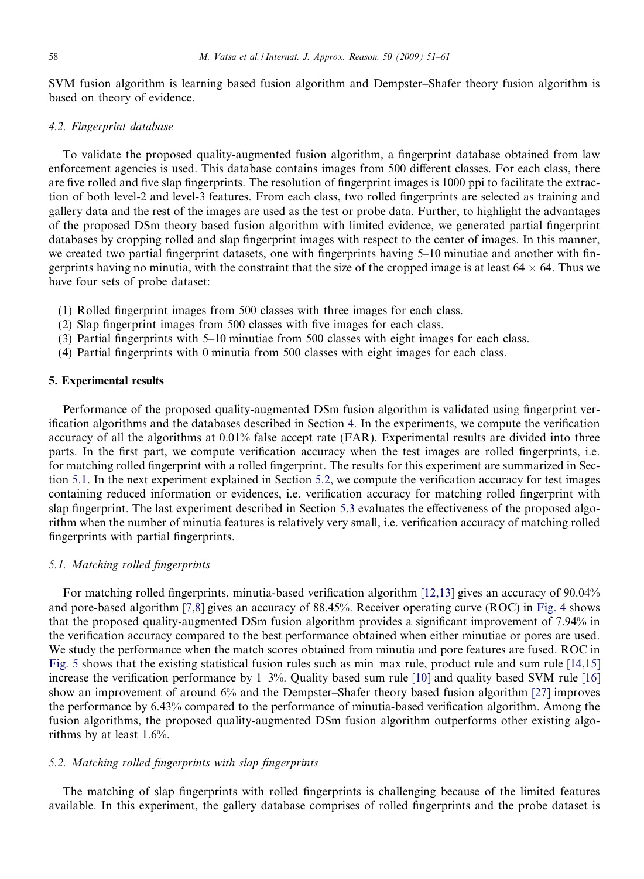<span id="page-7-0"></span>SVM fusion algorithm is learning based fusion algorithm and Dempster–Shafer theory fusion algorithm is based on theory of evidence.

# 4.2. Fingerprint database

To validate the proposed quality-augmented fusion algorithm, a fingerprint database obtained from law enforcement agencies is used. This database contains images from 500 different classes. For each class, there are five rolled and five slap fingerprints. The resolution of fingerprint images is 1000 ppi to facilitate the extraction of both level-2 and level-3 features. From each class, two rolled fingerprints are selected as training and gallery data and the rest of the images are used as the test or probe data. Further, to highlight the advantages of the proposed DSm theory based fusion algorithm with limited evidence, we generated partial fingerprint databases by cropping rolled and slap fingerprint images with respect to the center of images. In this manner, we created two partial fingerprint datasets, one with fingerprints having 5–10 minutiae and another with fingerprints having no minutia, with the constraint that the size of the cropped image is at least  $64 \times 64$ . Thus we have four sets of probe dataset:

- (1) Rolled fingerprint images from 500 classes with three images for each class.
- (2) Slap fingerprint images from 500 classes with five images for each class.
- (3) Partial fingerprints with 5–10 minutiae from 500 classes with eight images for each class.
- (4) Partial fingerprints with 0 minutia from 500 classes with eight images for each class.

# 5. Experimental results

Performance of the proposed quality-augmented DSm fusion algorithm is validated using fingerprint verification algorithms and the databases described in Section [4](#page-6-0). In the experiments, we compute the verification accuracy of all the algorithms at 0.01% false accept rate (FAR). Experimental results are divided into three parts. In the first part, we compute verification accuracy when the test images are rolled fingerprints, i.e. for matching rolled fingerprint with a rolled fingerprint. The results for this experiment are summarized in Section 5.1. In the next experiment explained in Section 5.2, we compute the verification accuracy for test images containing reduced information or evidences, i.e. verification accuracy for matching rolled fingerprint with slap fingerprint. The last experiment described in Section [5.3](#page-8-0) evaluates the effectiveness of the proposed algorithm when the number of minutia features is relatively very small, i.e. verification accuracy of matching rolled fingerprints with partial fingerprints.

# 5.1. Matching rolled fingerprints

For matching rolled fingerprints, minutia-based verification algorithm [\[12,13\]](#page-10-0) gives an accuracy of 90.04% and pore-based algorithm [\[7,8\]](#page-10-0) gives an accuracy of 88.45%. Receiver operating curve (ROC) in [Fig. 4](#page-8-0) shows that the proposed quality-augmented DSm fusion algorithm provides a significant improvement of 7.94% in the verification accuracy compared to the best performance obtained when either minutiae or pores are used. We study the performance when the match scores obtained from minutia and pore features are fused. ROC in [Fig. 5](#page-8-0) shows that the existing statistical fusion rules such as min–max rule, product rule and sum rule [\[14,15\]](#page-10-0) increase the verification performance by  $1-3%$ . Quality based sum rule [\[10\]](#page-10-0) and quality based SVM rule [\[16\]](#page-10-0) show an improvement of around 6% and the Dempster–Shafer theory based fusion algorithm [\[27\]](#page-10-0) improves the performance by 6.43% compared to the performance of minutia-based verification algorithm. Among the fusion algorithms, the proposed quality-augmented DSm fusion algorithm outperforms other existing algorithms by at least 1.6%.

#### 5.2. Matching rolled fingerprints with slap fingerprints

The matching of slap fingerprints with rolled fingerprints is challenging because of the limited features available. In this experiment, the gallery database comprises of rolled fingerprints and the probe dataset is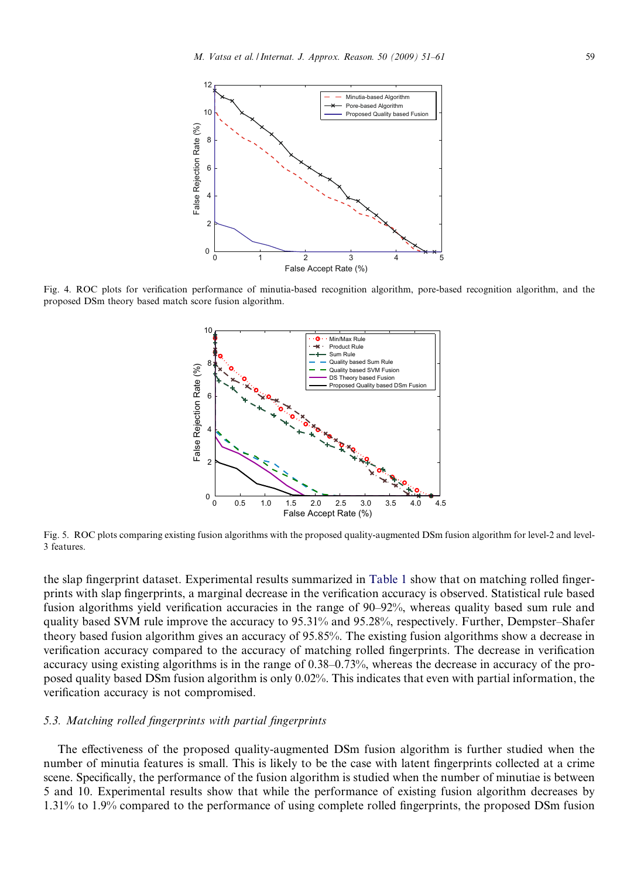<span id="page-8-0"></span>

Fig. 4. ROC plots for verification performance of minutia-based recognition algorithm, pore-based recognition algorithm, and the proposed DSm theory based match score fusion algorithm.



Fig. 5. ROC plots comparing existing fusion algorithms with the proposed quality-augmented DSm fusion algorithm for level-2 and level-3 features.

the slap fingerprint dataset. Experimental results summarized in [Table 1](#page-9-0) show that on matching rolled fingerprints with slap fingerprints, a marginal decrease in the verification accuracy is observed. Statistical rule based fusion algorithms yield verification accuracies in the range of 90–92%, whereas quality based sum rule and quality based SVM rule improve the accuracy to 95.31% and 95.28%, respectively. Further, Dempster–Shafer theory based fusion algorithm gives an accuracy of 95.85%. The existing fusion algorithms show a decrease in verification accuracy compared to the accuracy of matching rolled fingerprints. The decrease in verification accuracy using existing algorithms is in the range of 0.38–0.73%, whereas the decrease in accuracy of the proposed quality based DSm fusion algorithm is only 0.02%. This indicates that even with partial information, the verification accuracy is not compromised.

# 5.3. Matching rolled fingerprints with partial fingerprints

The effectiveness of the proposed quality-augmented DSm fusion algorithm is further studied when the number of minutia features is small. This is likely to be the case with latent fingerprints collected at a crime scene. Specifically, the performance of the fusion algorithm is studied when the number of minutiae is between 5 and 10. Experimental results show that while the performance of existing fusion algorithm decreases by 1.31% to 1.9% compared to the performance of using complete rolled fingerprints, the proposed DSm fusion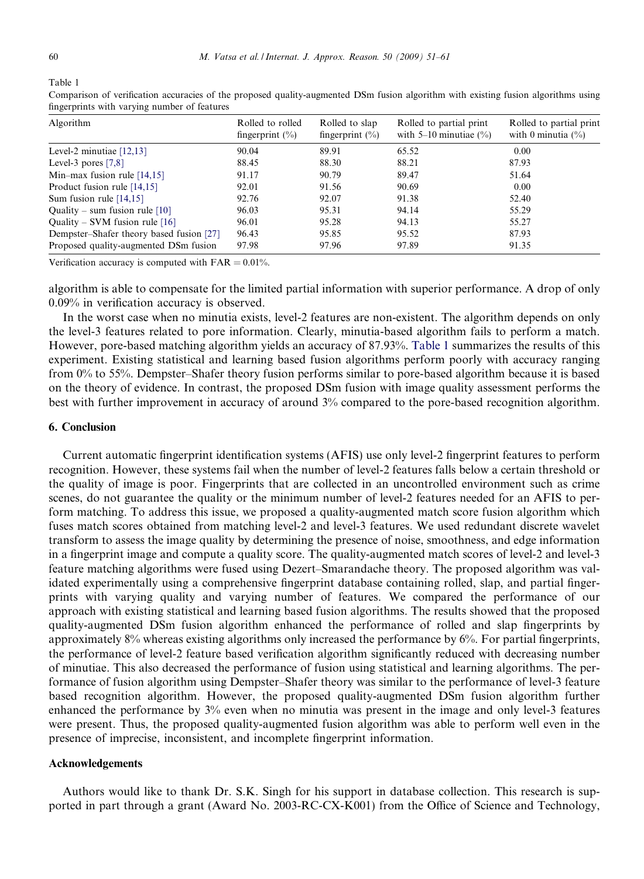<span id="page-9-0"></span>Table 1

| Algorithm                                | Rolled to rolled<br>fingerprint $(\% )$ | Rolled to slap<br>fingerprint $(\% )$ | Rolled to partial print<br>with $5-10$ minutiae $(\% )$ | Rolled to partial print<br>with 0 minutia $(\% )$ |
|------------------------------------------|-----------------------------------------|---------------------------------------|---------------------------------------------------------|---------------------------------------------------|
| Level-2 minutiae $[12,13]$               | 90.04                                   | 89.91                                 | 65.52                                                   | 0.00                                              |
| Level-3 pores $[7,8]$                    | 88.45                                   | 88.30                                 | 88.21                                                   | 87.93                                             |
| Min-max fusion rule $[14,15]$            | 91.17                                   | 90.79                                 | 89.47                                                   | 51.64                                             |
| Product fusion rule [14,15]              | 92.01                                   | 91.56                                 | 90.69                                                   | 0.00                                              |
| Sum fusion rule $[14,15]$                | 92.76                                   | 92.07                                 | 91.38                                                   | 52.40                                             |
| Quality – sum fusion rule $[10]$         | 96.03                                   | 95.31                                 | 94.14                                                   | 55.29                                             |
| Quality – SVM fusion rule $[16]$         | 96.01                                   | 95.28                                 | 94.13                                                   | 55.27                                             |
| Dempster–Shafer theory based fusion [27] | 96.43                                   | 95.85                                 | 95.52                                                   | 87.93                                             |
| Proposed quality-augmented DSm fusion    | 97.98                                   | 97.96                                 | 97.89                                                   | 91.35                                             |

Comparison of verification accuracies of the proposed quality-augmented DSm fusion algorithm with existing fusion algorithms using fingerprints with varying number of features

Verification accuracy is computed with  $FAR = 0.01\%$ .

algorithm is able to compensate for the limited partial information with superior performance. A drop of only 0.09% in verification accuracy is observed.

In the worst case when no minutia exists, level-2 features are non-existent. The algorithm depends on only the level-3 features related to pore information. Clearly, minutia-based algorithm fails to perform a match. However, pore-based matching algorithm yields an accuracy of 87.93%. Table 1 summarizes the results of this experiment. Existing statistical and learning based fusion algorithms perform poorly with accuracy ranging from 0% to 55%. Dempster–Shafer theory fusion performs similar to pore-based algorithm because it is based on the theory of evidence. In contrast, the proposed DSm fusion with image quality assessment performs the best with further improvement in accuracy of around 3% compared to the pore-based recognition algorithm.

#### 6. Conclusion

Current automatic fingerprint identification systems (AFIS) use only level-2 fingerprint features to perform recognition. However, these systems fail when the number of level-2 features falls below a certain threshold or the quality of image is poor. Fingerprints that are collected in an uncontrolled environment such as crime scenes, do not guarantee the quality or the minimum number of level-2 features needed for an AFIS to perform matching. To address this issue, we proposed a quality-augmented match score fusion algorithm which fuses match scores obtained from matching level-2 and level-3 features. We used redundant discrete wavelet transform to assess the image quality by determining the presence of noise, smoothness, and edge information in a fingerprint image and compute a quality score. The quality-augmented match scores of level-2 and level-3 feature matching algorithms were fused using Dezert–Smarandache theory. The proposed algorithm was validated experimentally using a comprehensive fingerprint database containing rolled, slap, and partial fingerprints with varying quality and varying number of features. We compared the performance of our approach with existing statistical and learning based fusion algorithms. The results showed that the proposed quality-augmented DSm fusion algorithm enhanced the performance of rolled and slap fingerprints by approximately 8% whereas existing algorithms only increased the performance by 6%. For partial fingerprints, the performance of level-2 feature based verification algorithm significantly reduced with decreasing number of minutiae. This also decreased the performance of fusion using statistical and learning algorithms. The performance of fusion algorithm using Dempster–Shafer theory was similar to the performance of level-3 feature based recognition algorithm. However, the proposed quality-augmented DSm fusion algorithm further enhanced the performance by 3% even when no minutia was present in the image and only level-3 features were present. Thus, the proposed quality-augmented fusion algorithm was able to perform well even in the presence of imprecise, inconsistent, and incomplete fingerprint information.

# Acknowledgements

Authors would like to thank Dr. S.K. Singh for his support in database collection. This research is supported in part through a grant (Award No. 2003-RC-CX-K001) from the Office of Science and Technology,